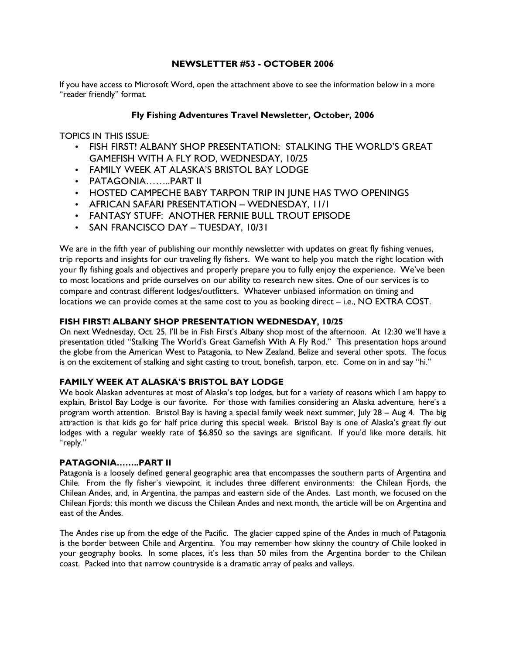### NEWSLETTER #53 - OCTOBER 2006

If you have access to Microsoft Word, open the attachment above to see the information below in a more "reader friendly" format.

### Fly Fishing Adventures Travel Newsletter, October, 2006

TOPICS IN THIS ISSUE:

- FISH FIRST! ALBANY SHOP PRESENTATION: STALKING THE WORLD'S GREAT GAMEFISH WITH A FLY ROD, WEDNESDAY, 10/25
- FAMILY WEEK AT ALASKA'S BRISTOL BAY LODGE
- PATAGONIA……..PART II
- HOSTED CAMPECHE BABY TARPON TRIP IN JUNE HAS TWO OPENINGS
- AFRICAN SAFARI PRESENTATION WEDNESDAY, 11/1
- FANTASY STUFF: ANOTHER FERNIE BULL TROUT EPISODE
- SAN FRANCISCO DAY TUESDAY, 10/31

We are in the fifth year of publishing our monthly newsletter with updates on great fly fishing venues, trip reports and insights for our traveling fly fishers. We want to help you match the right location with your fly fishing goals and objectives and properly prepare you to fully enjoy the experience. We've been to most locations and pride ourselves on our ability to research new sites. One of our services is to compare and contrast different lodges/outfitters. Whatever unbiased information on timing and locations we can provide comes at the same cost to you as booking direct – i.e., NO EXTRA COST.

### FISH FIRST! ALBANY SHOP PRESENTATION WEDNESDAY, 10/25

On next Wednesday, Oct. 25, I'll be in Fish First's Albany shop most of the afternoon. At 12:30 we'll have a presentation titled "Stalking The World's Great Gamefish With A Fly Rod." This presentation hops around the globe from the American West to Patagonia, to New Zealand, Belize and several other spots. The focus is on the excitement of stalking and sight casting to trout, bonefish, tarpon, etc. Come on in and say "hi."

### FAMILY WEEK AT ALASKA'S BRISTOL BAY LODGE

We book Alaskan adventures at most of Alaska's top lodges, but for a variety of reasons which I am happy to explain, Bristol Bay Lodge is our favorite. For those with families considering an Alaska adventure, here's a program worth attention. Bristol Bay is having a special family week next summer, July 28 – Aug 4. The big attraction is that kids go for half price during this special week. Bristol Bay is one of Alaska's great fly out lodges with a regular weekly rate of \$6,850 so the savings are significant. If you'd like more details, hit "reply."

# PATAGONIA……..PART II

Patagonia is a loosely defined general geographic area that encompasses the southern parts of Argentina and Chile. From the fly fisher's viewpoint, it includes three different environments: the Chilean Fjords, the Chilean Andes, and, in Argentina, the pampas and eastern side of the Andes. Last month, we focused on the Chilean Fjords; this month we discuss the Chilean Andes and next month, the article will be on Argentina and east of the Andes.

The Andes rise up from the edge of the Pacific. The glacier capped spine of the Andes in much of Patagonia is the border between Chile and Argentina. You may remember how skinny the country of Chile looked in your geography books. In some places, it's less than 50 miles from the Argentina border to the Chilean coast. Packed into that narrow countryside is a dramatic array of peaks and valleys.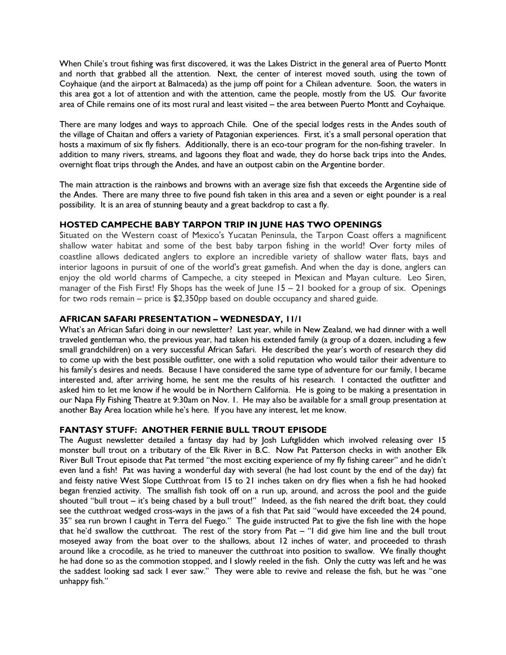When Chile's trout fishing was first discovered, it was the Lakes District in the general area of Puerto Montt and north that grabbed all the attention. Next, the center of interest moved south, using the town of Coyhaique (and the airport at Balmaceda) as the jump off point for a Chilean adventure. Soon, the waters in this area got a lot of attention and with the attention, came the people, mostly from the US. Our favorite area of Chile remains one of its most rural and least visited – the area between Puerto Montt and Coyhaique.

There are many lodges and ways to approach Chile. One of the special lodges rests in the Andes south of the village of Chaitan and offers a variety of Patagonian experiences. First, it's a small personal operation that hosts a maximum of six fly fishers. Additionally, there is an eco-tour program for the non-fishing traveler. In addition to many rivers, streams, and lagoons they float and wade, they do horse back trips into the Andes, overnight float trips through the Andes, and have an outpost cabin on the Argentine border.

The main attraction is the rainbows and browns with an average size fish that exceeds the Argentine side of the Andes. There are many three to five pound fish taken in this area and a seven or eight pounder is a real possibility. It is an area of stunning beauty and a great backdrop to cast a fly.

## HOSTED CAMPECHE BABY TARPON TRIP IN JUNE HAS TWO OPENINGS

Situated on the Western coast of Mexico's Yucatan Peninsula, the Tarpon Coast offers a magnificent shallow water habitat and some of the best baby tarpon fishing in the world! Over forty miles of coastline allows dedicated anglers to explore an incredible variety of shallow water flats, bays and interior lagoons in pursuit of one of the world's great gamefish. And when the day is done, anglers can enjoy the old world charms of Campeche, a city steeped in Mexican and Mayan culture. Leo Siren, manager of the Fish First! Fly Shops has the week of June 15 – 21 booked for a group of six. Openings for two rods remain – price is \$2,350pp based on double occupancy and shared guide.

### AFRICAN SAFARI PRESENTATION – WEDNESDAY, 11/1

What's an African Safari doing in our newsletter? Last year, while in New Zealand, we had dinner with a well traveled gentleman who, the previous year, had taken his extended family (a group of a dozen, including a few small grandchildren) on a very successful African Safari. He described the year's worth of research they did to come up with the best possible outfitter, one with a solid reputation who would tailor their adventure to his family's desires and needs. Because I have considered the same type of adventure for our family, I became interested and, after arriving home, he sent me the results of his research. I contacted the outfitter and asked him to let me know if he would be in Northern California. He is going to be making a presentation in our Napa Fly Fishing Theatre at 9:30am on Nov. 1. He may also be available for a small group presentation at another Bay Area location while he's here. If you have any interest, let me know.

### FANTASY STUFF: ANOTHER FERNIE BULL TROUT EPISODE

The August newsletter detailed a fantasy day had by Josh Luftglidden which involved releasing over 15 monster bull trout on a tributary of the Elk River in B.C. Now Pat Patterson checks in with another Elk River Bull Trout episode that Pat termed "the most exciting experience of my fly fishing career" and he didn't even land a fish! Pat was having a wonderful day with several (he had lost count by the end of the day) fat and feisty native West Slope Cutthroat from 15 to 21 inches taken on dry flies when a fish he had hooked began frenzied activity. The smallish fish took off on a run up, around, and across the pool and the guide shouted "bull trout – it's being chased by a bull trout!" Indeed, as the fish neared the drift boat, they could see the cutthroat wedged cross-ways in the jaws of a fish that Pat said "would have exceeded the 24 pound, 35" sea run brown I caught in Terra del Fuego." The guide instructed Pat to give the fish line with the hope that he'd swallow the cutthroat. The rest of the story from Pat – "I did give him line and the bull trout moseyed away from the boat over to the shallows, about 12 inches of water, and proceeded to thrash around like a crocodile, as he tried to maneuver the cutthroat into position to swallow. We finally thought he had done so as the commotion stopped, and I slowly reeled in the fish. Only the cutty was left and he was the saddest looking sad sack I ever saw." They were able to revive and release the fish, but he was "one unhappy fish."